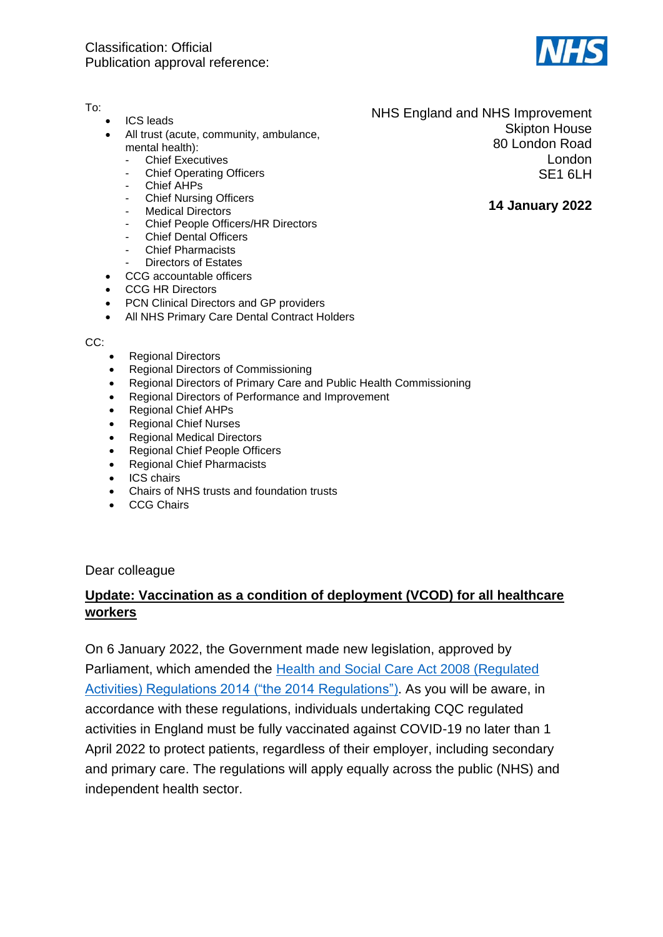

#### To:

- ICS leads
- All trust (acute, community, ambulance, mental health):
	- **Chief Executives**
	- **Chief Operating Officers**
	- Chief AHPs
	- **Chief Nursing Officers**
	- **Medical Directors**
	- Chief People Officers/HR Directors
	- Chief Dental Officers
	- **Chief Pharmacists**
	- Directors of Estates
- CCG accountable officers
- CCG HR Directors
- PCN Clinical Directors and GP providers
- All NHS Primary Care Dental Contract Holders

CC:

- Regional Directors
- Regional Directors of Commissioning
- Regional Directors of Primary Care and Public Health Commissioning
- Regional Directors of Performance and Improvement
- Regional Chief AHPs
- Regional Chief Nurses
- Regional Medical Directors
- Regional Chief People Officers
- Regional Chief Pharmacists
- ICS chairs
- Chairs of NHS trusts and foundation trusts
- CCG Chairs

Dear colleague

# **Update: Vaccination as a condition of deployment (VCOD) for all healthcare workers**

On 6 January 2022, the Government made new legislation, approved by Parliament, which amended the [Health and Social Care Act 2008 \(Regulated](https://www.legislation.gov.uk/uksi/2022/15/made)  [Activities\) Regulations 2014 \("the 2014 Regulations"\).](https://www.legislation.gov.uk/uksi/2022/15/made) As you will be aware, in accordance with these regulations, individuals undertaking CQC regulated activities in England must be fully vaccinated against COVID-19 no later than 1 April 2022 to protect patients, regardless of their employer, including secondary and primary care. The regulations will apply equally across the public (NHS) and independent health sector.

NHS England and NHS Improvement Skipton House 80 London Road London SE1 6LH

#### **14 January 2022**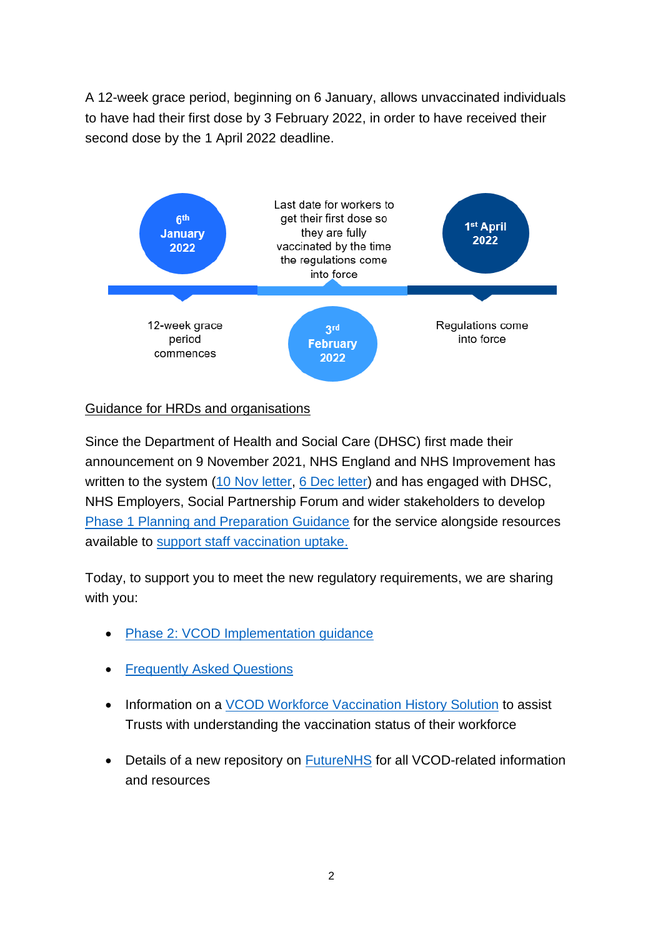A 12-week grace period, beginning on 6 January, allows unvaccinated individuals to have had their first dose by 3 February 2022, in order to have received their second dose by the 1 April 2022 deadline.



### Guidance for HRDs and organisations

Since the Department of Health and Social Care (DHSC) first made their announcement on 9 November 2021, NHS England and NHS Improvement has written to the system [\(10 Nov letter,](https://www.england.nhs.uk/coronavirus/wp-content/uploads/sites/52/2021/11/C1451-vaccination-as-a-condition-of-deployment-for-all-healthcare-workers.pdf) [6 Dec letter\)](https://www.england.nhs.uk/coronavirus/publication/vaccination-as-a-condition-of-deployment-for-healthcare-workers-phase-1-planning-and-preparation/) and has engaged with DHSC, NHS Employers, Social Partnership Forum and wider stakeholders to develop [Phase 1 Planning and Preparation Guidance](https://www.england.nhs.uk/coronavirus/wp-content/uploads/sites/52/2021/12/C1470-vcod-for-healthcare-workers-planning-and-preparation-guidance.pdf) for the service alongside resources available to [support staff vaccination uptake.](https://www.england.nhs.uk/coronavirus/covid-19-vaccination-programme/vaccination-as-a-condition-of-deployment-for-all-healthcare-workers/resources/)

Today, to support you to meet the new regulatory requirements, we are sharing with you:

- Phase 2: [VCOD Implementation guidance](https://www.england.nhs.uk/coronavirus/publication/vcod-for-healthcare-workers-phase-2/)
- [Frequently Asked Questions](https://www.england.nhs.uk/coronavirus/publication/vcod-for-healthcare-workers-faqs/)
- Information on a [VCOD Workforce Vaccination History Solution](https://rise.articulate.com/share/Uz9wI1FJI4xnT3E8OeTCQtYr7A2LP-6-#/lessons/Glt63U0IKLQbKPNfTI94OQUuw73pxA_2) to assist Trusts with understanding the vaccination status of their workforce
- Details of a new repository on [FutureNHS](https://future.nhs.uk/connect.ti/NationalVCODHealthcareWorkers/grouphome) for all VCOD-related information and resources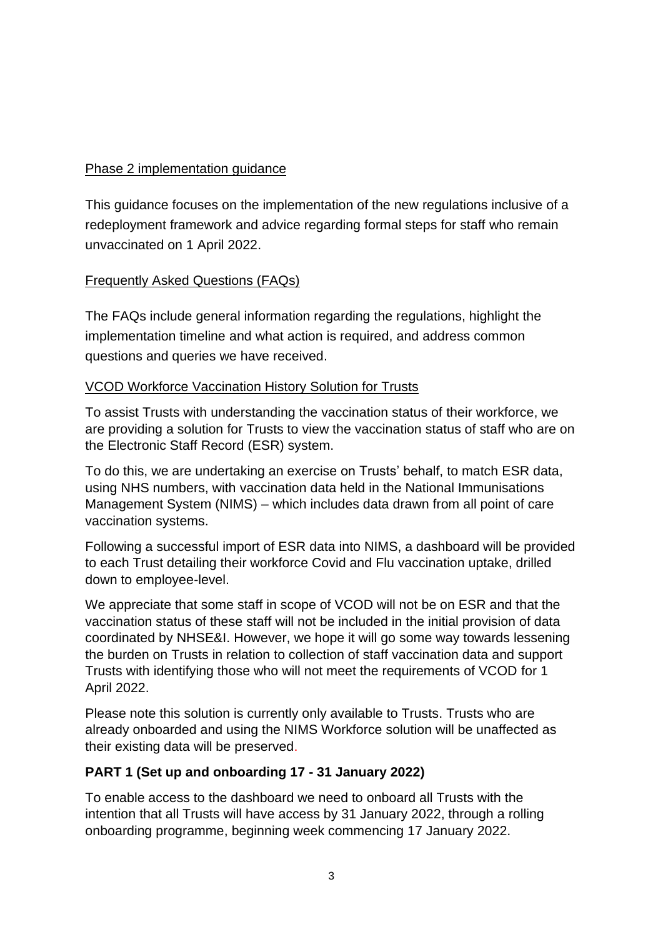### Phase 2 implementation guidance

This guidance focuses on the implementation of the new regulations inclusive of a redeployment framework and advice regarding formal steps for staff who remain unvaccinated on 1 April 2022.

### Frequently Asked Questions (FAQs)

The FAQs include general information regarding the regulations, highlight the implementation timeline and what action is required, and address common questions and queries we have received.

### VCOD Workforce Vaccination History Solution for Trusts

To assist Trusts with understanding the vaccination status of their workforce, we are providing a solution for Trusts to view the vaccination status of staff who are on the Electronic Staff Record (ESR) system.

To do this, we are undertaking an exercise on Trusts' behalf, to match ESR data, using NHS numbers, with vaccination data held in the National Immunisations Management System (NIMS) – which includes data drawn from all point of care vaccination systems.

Following a successful import of ESR data into NIMS, a dashboard will be provided to each Trust detailing their workforce Covid and Flu vaccination uptake, drilled down to employee-level.

We appreciate that some staff in scope of VCOD will not be on ESR and that the vaccination status of these staff will not be included in the initial provision of data coordinated by NHSE&I. However, we hope it will go some way towards lessening the burden on Trusts in relation to collection of staff vaccination data and support Trusts with identifying those who will not meet the requirements of VCOD for 1 April 2022.

Please note this solution is currently only available to Trusts. Trusts who are already onboarded and using the NIMS Workforce solution will be unaffected as their existing data will be preserved.

# **PART 1 (Set up and onboarding 17 - 31 January 2022)**

To enable access to the dashboard we need to onboard all Trusts with the intention that all Trusts will have access by 31 January 2022, through a rolling onboarding programme, beginning week commencing 17 January 2022.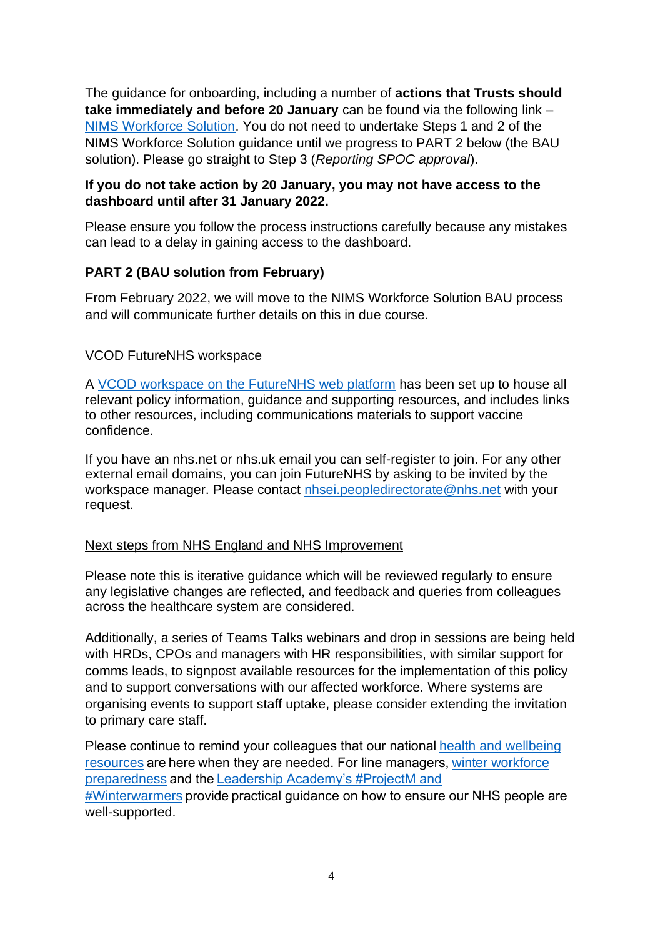The guidance for onboarding, including a number of **actions that Trusts should take immediately and before 20 January** can be found via the following link – [NIMS Workforce Solution.](https://rise.articulate.com/share/Uz9wI1FJI4xnT3E8OeTCQtYr7A2LP-6-#/lessons/Glt63U0IKLQbKPNfTI94OQUuw73pxA_2) You do not need to undertake Steps 1 and 2 of the NIMS Workforce Solution guidance until we progress to PART 2 below (the BAU solution). Please go straight to Step 3 (*Reporting SPOC approval*).

### **If you do not take action by 20 January, you may not have access to the dashboard until after 31 January 2022.**

Please ensure you follow the process instructions carefully because any mistakes can lead to a delay in gaining access to the dashboard.

# **PART 2 (BAU solution from February)**

From February 2022, we will move to the NIMS Workforce Solution BAU process and will communicate further details on this in due course.

### VCOD FutureNHS workspace

A [VCOD workspace on the FutureNHS web platform](https://future.nhs.uk/NationalVCODHealthcareWorkers/grouphome) has been set up to house all relevant policy information, guidance and supporting resources, and includes links to other resources, including communications materials to support vaccine confidence.

If you have an nhs.net or nhs.uk email you can self-register to join. For any other external email domains, you can join FutureNHS by asking to be invited by the workspace manager. Please contact [nhsei.peopledirectorate@nhs.net](mailto:nhsei.peopledirectorate@nhs.net) with your request.

#### Next steps from NHS England and NHS Improvement

Please note this is iterative guidance which will be reviewed regularly to ensure any legislative changes are reflected, and feedback and queries from colleagues across the healthcare system are considered.

Additionally, a series of Teams Talks webinars and drop in sessions are being held with HRDs, CPOs and managers with HR responsibilities, with similar support for comms leads, to signpost available resources for the implementation of this policy and to support conversations with our affected workforce. Where systems are organising events to support staff uptake, please consider extending the invitation to primary care staff.

Please continue to remind your colleagues that our nationa[l health and wellbeing](http://england.nhs.uk/supporting-our-nhs-people/)  [resources](http://england.nhs.uk/supporting-our-nhs-people/) are here when they are needed. For line managers, winter [workforce](https://www.england.nhs.uk/winter/winter-workforce-preparedness/) preparedness and the[Leadership Academy's #ProjectM and](https://www.leadershipacademy.nhs.uk/wp-content/uploads/2021/12/NHS-Winter-Offers-Brochure.pdf)  [#Winterwarmers](https://www.leadershipacademy.nhs.uk/wp-content/uploads/2021/12/NHS-Winter-Offers-Brochure.pdf) provide practical guidance on how to ensure our NHS people are well-supported.